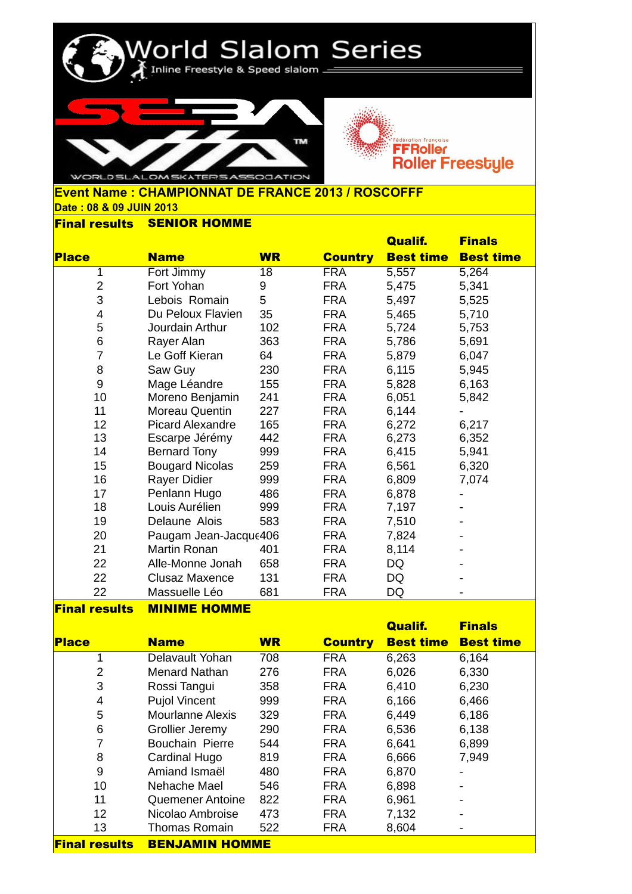



## **Date : 08 & 09 JUIN 2013 Event Name : CHAMPIONNAT DE FRANCE 2013 / ROSCOFFF**

World Slalom Series

## **Final results SENIOR HOMME**

|                |                           |           |                | <b>Qualif.</b>   | <b>Finals</b>    |
|----------------|---------------------------|-----------|----------------|------------------|------------------|
| <b>Place</b>   | <b>Name</b>               | <b>WR</b> | <b>Country</b> | <b>Best time</b> | <b>Best time</b> |
| 1              | Fort Jimmy                | 18        | <b>FRA</b>     | 5,557            | 5,264            |
| $\overline{2}$ | Fort Yohan                | 9         | <b>FRA</b>     | 5,475            | 5,341            |
| 3              | Lebois Romain             | 5         | <b>FRA</b>     | 5,497            | 5,525            |
| 4              | Du Peloux Flavien         | 35        | <b>FRA</b>     | 5,465            | 5,710            |
| 5              | Jourdain Arthur           | 102       | <b>FRA</b>     | 5,724            | 5,753            |
| 6              | Rayer Alan                | 363       | <b>FRA</b>     | 5,786            | 5,691            |
| $\overline{7}$ | Le Goff Kieran            | 64        | <b>FRA</b>     | 5,879            | 6,047            |
| 8              | Saw Guy                   | 230       | <b>FRA</b>     | 6,115            | 5,945            |
| 9              | Mage Léandre              | 155       | <b>FRA</b>     | 5,828            | 6,163            |
| 10             | Moreno Benjamin           | 241       | <b>FRA</b>     | 6,051            | 5,842            |
| 11             | Moreau Quentin            | 227       | <b>FRA</b>     | 6,144            |                  |
| 12             | Picard Alexandre          | 165       | <b>FRA</b>     | 6,272            | 6,217            |
| 13             | Escarpe Jérémy            | 442       | <b>FRA</b>     | 6,273            | 6,352            |
| 14             | <b>Bernard Tony</b>       | 999       | <b>FRA</b>     | 6,415            | 5,941            |
| 15             | <b>Bougard Nicolas</b>    | 259       | <b>FRA</b>     | 6,561            | 6,320            |
| 16             | Rayer Didier              | 999       | <b>FRA</b>     | 6,809            | 7,074            |
| 17             | Penlann Hugo              | 486       | <b>FRA</b>     | 6,878            |                  |
| 18             | Louis Aurélien            | 999       | <b>FRA</b>     | 7,197            |                  |
| 19             | Delaune Alois             | 583       | <b>FRA</b>     | 7,510            |                  |
| 20             | Paugam Jean-Jacque406     |           | <b>FRA</b>     | 7,824            |                  |
| 21             | Martin Ronan              | 401       | <b>FRA</b>     | 8,114            |                  |
| 22             | Alle-Monne Jonah          | 658       | <b>FRA</b>     | <b>DQ</b>        |                  |
| 22             | <b>Clusaz Maxence</b>     | 131       | <b>FRA</b>     | <b>DQ</b>        |                  |
| 22             | Massuelle Léo             | 681       | <b>FRA</b>     | DQ               |                  |
|                | <u>Baibiiram Itararam</u> |           |                |                  |                  |

## **Final results MINIME HOMME**

|                      |                         |           |                | <b>Qualif.</b>   | <b>Finals</b>    |
|----------------------|-------------------------|-----------|----------------|------------------|------------------|
| <b>Place</b>         | <b>Name</b>             | <b>WR</b> | <b>Country</b> | <b>Best time</b> | <b>Best time</b> |
| 1                    | Delavault Yohan         | 708       | <b>FRA</b>     | 6,263            | 6,164            |
| 2                    | Menard Nathan           | 276       | <b>FRA</b>     | 6,026            | 6,330            |
| 3                    | Rossi Tangui            | 358       | <b>FRA</b>     | 6,410            | 6,230            |
| 4                    | <b>Pujol Vincent</b>    | 999       | <b>FRA</b>     | 6,166            | 6,466            |
| 5                    | <b>Mourlanne Alexis</b> | 329       | <b>FRA</b>     | 6,449            | 6,186            |
| 6                    | Grollier Jeremy         | 290       | <b>FRA</b>     | 6,536            | 6,138            |
| 7                    | Bouchain Pierre         | 544       | <b>FRA</b>     | 6,641            | 6,899            |
| 8                    | Cardinal Hugo           | 819       | <b>FRA</b>     | 6,666            | 7,949            |
| 9                    | Amiand Ismaël           | 480       | <b>FRA</b>     | 6,870            |                  |
| 10                   | Nehache Mael            | 546       | <b>FRA</b>     | 6,898            |                  |
| 11                   | <b>Quemener Antoine</b> | 822       | <b>FRA</b>     | 6,961            |                  |
| 12                   | Nicolao Ambroise        | 473       | <b>FRA</b>     | 7,132            |                  |
| 13                   | <b>Thomas Romain</b>    | 522       | <b>FRA</b>     | 8,604            |                  |
| <b>Final results</b> | <b>BENJAMIN HOMME</b>   |           |                |                  |                  |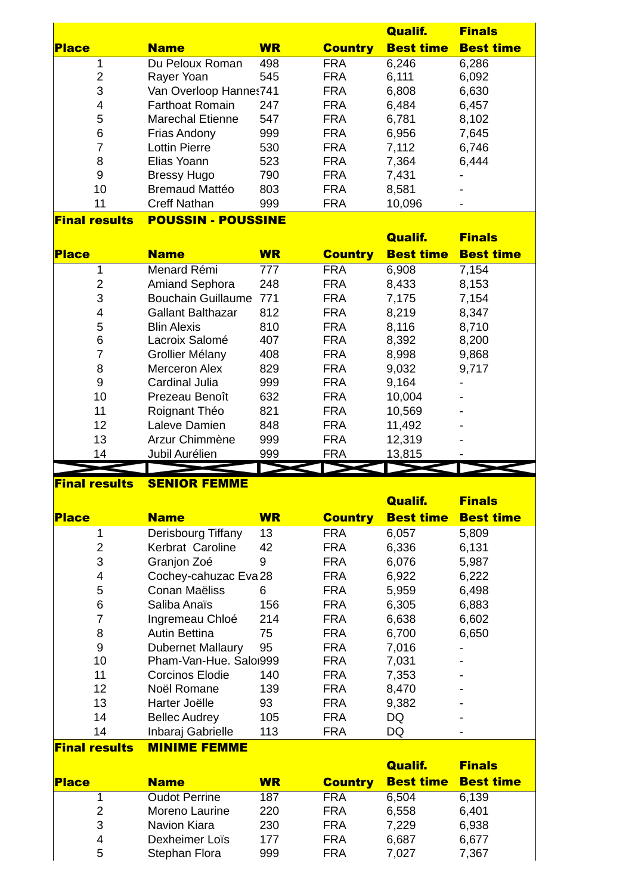|                      |                           |           |                | <b>Qualif.</b>   | <b>Finals</b>    |
|----------------------|---------------------------|-----------|----------------|------------------|------------------|
| <b>Place</b>         | <b>Name</b>               | <b>WR</b> | <b>Country</b> | <b>Best time</b> | <b>Best time</b> |
| 1                    | Du Peloux Roman           | 498       | <b>FRA</b>     | 6,246            | 6,286            |
| 2                    | Rayer Yoan                | 545       | <b>FRA</b>     | 6,111            | 6,092            |
| 3                    | Van Overloop Hannes741    |           | <b>FRA</b>     | 6,808            | 6,630            |
| 4                    | <b>Farthoat Romain</b>    | 247       | <b>FRA</b>     | 6,484            | 6,457            |
| 5                    | <b>Marechal Etienne</b>   | 547       | <b>FRA</b>     | 6,781            | 8,102            |
| 6                    | <b>Frias Andony</b>       | 999       | <b>FRA</b>     | 6,956            | 7,645            |
| 7                    | <b>Lottin Pierre</b>      | 530       | <b>FRA</b>     | 7,112            | 6,746            |
| 8                    | Elias Yoann               | 523       | <b>FRA</b>     | 7,364            | 6,444            |
| 9                    | <b>Bressy Hugo</b>        | 790       | <b>FRA</b>     | 7,431            | $\blacksquare$   |
| 10                   | <b>Bremaud Mattéo</b>     | 803       | <b>FRA</b>     | 8,581            |                  |
| 11                   | <b>Creff Nathan</b>       | 999       | <b>FRA</b>     | 10,096           | $\qquad \qquad$  |
| <b>Final results</b> | <b>POUSSIN - POUSSINE</b> |           |                |                  |                  |

|                |                           |           |                | <b>Qualif.</b>   | <b>Finals</b>    |
|----------------|---------------------------|-----------|----------------|------------------|------------------|
| <b>Place</b>   | <b>Name</b>               | <b>WR</b> | <b>Country</b> | <b>Best time</b> | <b>Best time</b> |
| 1              | Menard Rémi               | 777       | <b>FRA</b>     | 6,908            | 7,154            |
| $\overline{2}$ | <b>Amiand Sephora</b>     | 248       | <b>FRA</b>     | 8,433            | 8,153            |
| 3              | <b>Bouchain Guillaume</b> | 771       | <b>FRA</b>     | 7,175            | 7,154            |
| 4              | <b>Gallant Balthazar</b>  | 812       | <b>FRA</b>     | 8,219            | 8,347            |
| 5              | <b>Blin Alexis</b>        | 810       | <b>FRA</b>     | 8,116            | 8,710            |
| 6              | Lacroix Salomé            | 407       | <b>FRA</b>     | 8,392            | 8,200            |
| 7              | Grollier Mélany           | 408       | <b>FRA</b>     | 8,998            | 9,868            |
| 8              | <b>Merceron Alex</b>      | 829       | <b>FRA</b>     | 9,032            | 9,717            |
| 9              | Cardinal Julia            | 999       | <b>FRA</b>     | 9,164            |                  |
| 10             | Prezeau Benoît            | 632       | <b>FRA</b>     | 10,004           |                  |
| 11             | Roignant Théo             | 821       | <b>FRA</b>     | 10,569           |                  |
| 12             | Laleve Damien             | 848       | <b>FRA</b>     | 11,492           |                  |
| 13             | Arzur Chimmène            | 999       | <b>FRA</b>     | 12,319           |                  |
| 14             | Jubil Aurélien            | 999       | <b>FRA</b>     | 13,815           |                  |
|                |                           |           |                |                  |                  |

## **Final results SENIOR FEMME**

<mark>Final re</mark>

|                      |                          |           |                | <b>Qualif.</b>   | <b>Finals</b>    |
|----------------------|--------------------------|-----------|----------------|------------------|------------------|
| <b>Place</b>         | <b>Name</b>              | <b>WR</b> | <b>Country</b> | <b>Best time</b> | <b>Best time</b> |
| 1                    | Derisbourg Tiffany       | 13        | <b>FRA</b>     | 6,057            | 5,809            |
| 2                    | Kerbrat Caroline         | 42        | <b>FRA</b>     | 6,336            | 6,131            |
| 3                    | Granjon Zoé              | 9         | <b>FRA</b>     | 6,076            | 5,987            |
| 4                    | Cochey-cahuzac Eva 28    |           | <b>FRA</b>     | 6,922            | 6,222            |
| 5                    | Conan Maëliss            | 6         | <b>FRA</b>     | 5,959            | 6,498            |
| 6                    | Saliba Anaïs             | 156       | <b>FRA</b>     | 6,305            | 6,883            |
| 7                    | Ingremeau Chloé          | 214       | <b>FRA</b>     | 6,638            | 6,602            |
| 8                    | <b>Autin Bettina</b>     | 75        | <b>FRA</b>     | 6,700            | 6,650            |
| 9                    | <b>Dubernet Mallaury</b> | 95        | <b>FRA</b>     | 7,016            |                  |
| 10                   | Pham-Van-Hue. Saloi999   |           | <b>FRA</b>     | 7,031            |                  |
| 11                   | Corcinos Elodie          | 140       | <b>FRA</b>     | 7,353            |                  |
| 12                   | Noël Romane              | 139       | <b>FRA</b>     | 8,470            |                  |
| 13                   | Harter Joëlle            | 93        | <b>FRA</b>     | 9,382            |                  |
| 14                   | <b>Bellec Audrey</b>     | 105       | <b>FRA</b>     | DQ               |                  |
| 14                   | Inbaraj Gabrielle        | 113       | <b>FRA</b>     | DQ               |                  |
| <b>Final results</b> | <b>MINIME FEMME</b>      |           |                |                  |                  |
|                      |                          |           |                |                  |                  |

|              |                      |           |                | <b>Qualif.</b>   | <b>Finals</b>    |
|--------------|----------------------|-----------|----------------|------------------|------------------|
| <b>Place</b> | <b>Name</b>          | <b>WR</b> | <b>Country</b> | <b>Best time</b> | <b>Best time</b> |
|              | <b>Oudot Perrine</b> | 187       | <b>FRA</b>     | 6,504            | 6,139            |
| 2            | Moreno Laurine       | 220       | <b>FRA</b>     | 6,558            | 6,401            |
| 3            | Navion Kiara         | 230       | <b>FRA</b>     | 7,229            | 6,938            |
| 4            | Dexheimer Loïs       | 177       | <b>FRA</b>     | 6,687            | 6,677            |
| 5            | Stephan Flora        | 999       | FRA            | 7,027            | 7,367            |